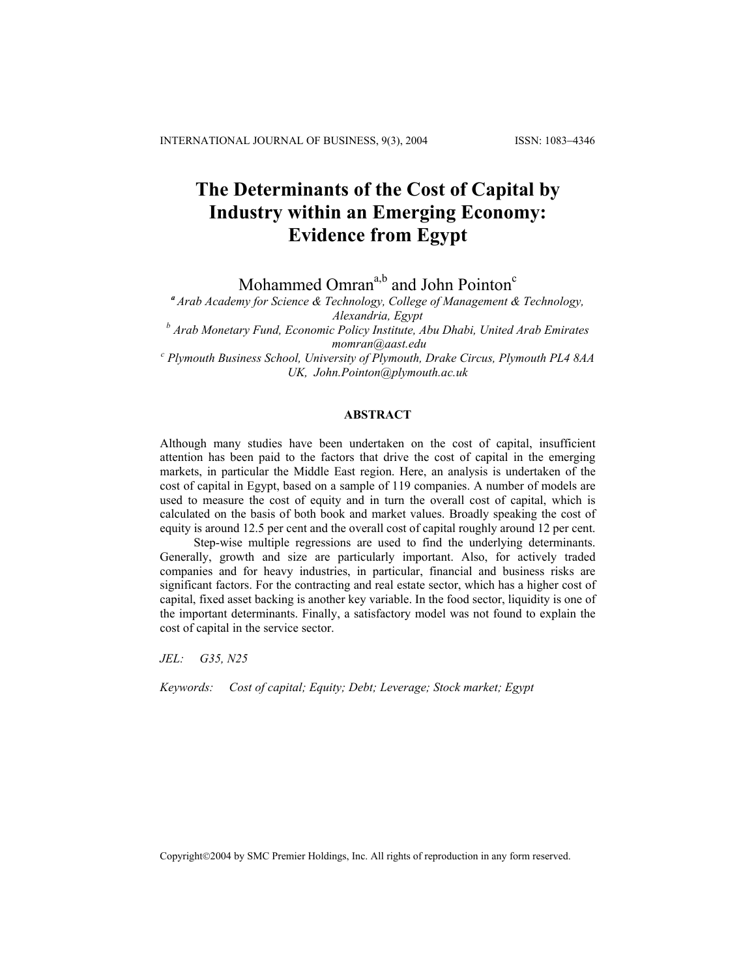# **The Determinants of the Cost of Capital by Industry within an Emerging Economy: Evidence from Egypt**

Mohammed Omran<sup>a,b</sup> and John Pointon<sup>c</sup>

*<sup>a</sup>Arab Academy for Science & Technology, College of Management & Technology, Alexandria, Egypt*

*b Arab Monetary Fund, Economic Policy Institute, Abu Dhabi, United Arab Emirates momran@aas[t.edu](mailto:momran@aast.edu) <sup>c</sup> Plymouth Business School, University of Plymouth, Drake Circus, Plymouth PL4 8AA* 

*UK, John.Pointon@plymouth.ac.uk* 

# **ABSTRACT**

Although many studies have been undertaken on the cost of capital, insufficient attention has been paid to the factors that drive the cost of capital in the emerging markets, in particular the Middle East region. Here, an analysis is undertaken of the cost of capital in Egypt, based on a sample of 119 companies. A number of models are used to measure the cost of equity and in turn the overall cost of capital, which is calculated on the basis of both book and market values. Broadly speaking the cost of equity is around 12.5 per cent and the overall cost of capital roughly around 12 per cent.

Step-wise multiple regressions are used to find the underlying determinants. Generally, growth and size are particularly important. Also, for actively traded companies and for heavy industries, in particular, financial and business risks are significant factors. For the contracting and real estate sector, which has a higher cost of capital, fixed asset backing is another key variable. In the food sector, liquidity is one of the important determinants. Finally, a satisfactory model was not found to explain the cost of capital in the service sector.

*JEL: G35, N25* 

*Keywords: Cost of capital; Equity; Debt; Leverage; Stock market; Egypt* 

Copyright©2004 by SMC Premier Holdings, Inc. All rights of reproduction in any form reserved.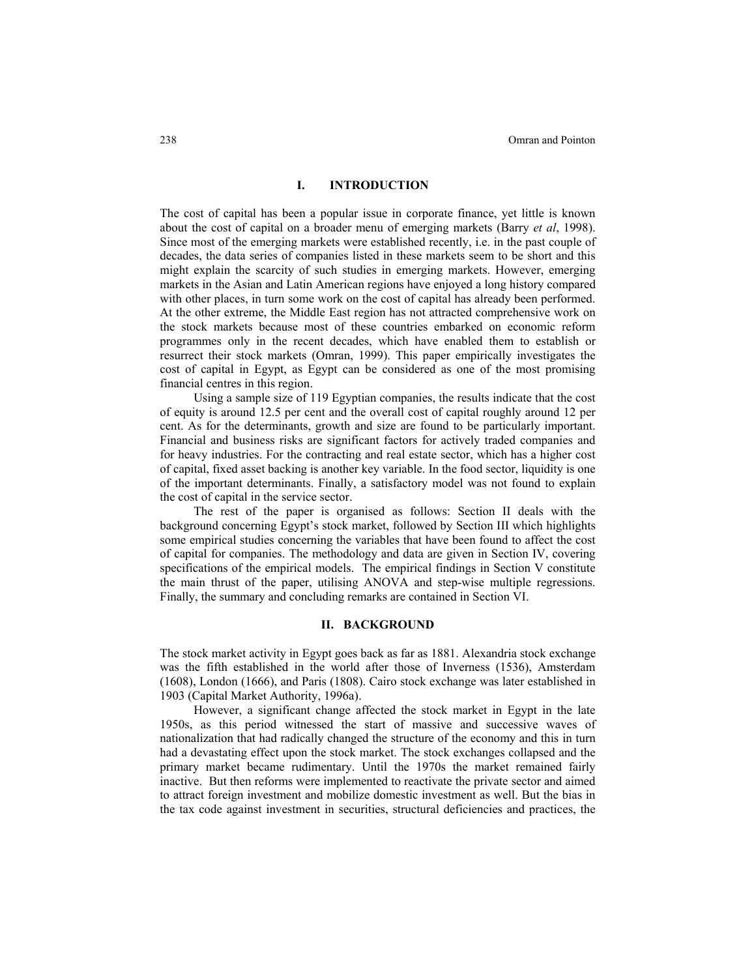### **I. INTRODUCTION**

The cost of capital has been a popular issue in corporate finance, yet little is known about the cost of capital on a broader menu of emerging markets (Barry *et al*, 1998). Since most of the emerging markets were established recently, i.e. in the past couple of decades, the data series of companies listed in these markets seem to be short and this might explain the scarcity of such studies in emerging markets. However, emerging markets in the Asian and Latin American regions have enjoyed a long history compared with other places, in turn some work on the cost of capital has already been performed. At the other extreme, the Middle East region has not attracted comprehensive work on the stock markets because most of these countries embarked on economic reform programmes only in the recent decades, which have enabled them to establish or resurrect their stock markets (Omran, 1999). This paper empirically investigates the cost of capital in Egypt, as Egypt can be considered as one of the most promising financial centres in this region.

Using a sample size of 119 Egyptian companies, the results indicate that the cost of equity is around 12.5 per cent and the overall cost of capital roughly around 12 per cent. As for the determinants, growth and size are found to be particularly important. Financial and business risks are significant factors for actively traded companies and for heavy industries. For the contracting and real estate sector, which has a higher cost of capital, fixed asset backing is another key variable. In the food sector, liquidity is one of the important determinants. Finally, a satisfactory model was not found to explain the cost of capital in the service sector.

The rest of the paper is organised as follows: Section II deals with the background concerning Egypt's stock market, followed by Section III which highlights some empirical studies concerning the variables that have been found to affect the cost of capital for companies. The methodology and data are given in Section IV, covering specifications of the empirical models. The empirical findings in Section V constitute the main thrust of the paper, utilising ANOVA and step-wise multiple regressions. Finally, the summary and concluding remarks are contained in Section VI.

# **II. BACKGROUND**

The stock market activity in Egypt goes back as far as 1881. Alexandria stock exchange was the fifth established in the world after those of Inverness (1536), Amsterdam (1608), London (1666), and Paris (1808). Cairo stock exchange was later established in 1903 (Capital Market Authority, 1996a).

However, a significant change affected the stock market in Egypt in the late 1950s, as this period witnessed the start of massive and successive waves of nationalization that had radically changed the structure of the economy and this in turn had a devastating effect upon the stock market. The stock exchanges collapsed and the primary market became rudimentary. Until the 1970s the market remained fairly inactive. But then reforms were implemented to reactivate the private sector and aimed to attract foreign investment and mobilize domestic investment as well. But the bias in the tax code against investment in securities, structural deficiencies and practices, the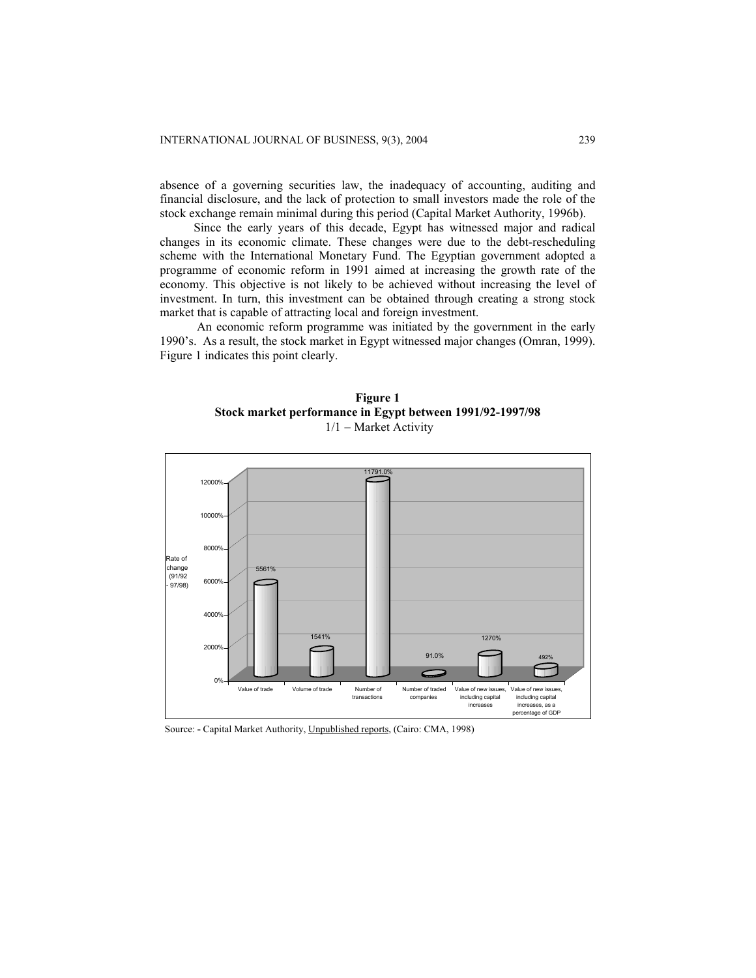absence of a governing securities law, the inadequacy of accounting, auditing and financial disclosure, and the lack of protection to small investors made the role of the stock exchange remain minimal during this period (Capital Market Authority, 1996b).

Since the early years of this decade, Egypt has witnessed major and radical changes in its economic climate. These changes were due to the debt-rescheduling scheme with the International Monetary Fund. The Egyptian government adopted a programme of economic reform in 1991 aimed at increasing the growth rate of the economy. This objective is not likely to be achieved without increasing the level of investment. In turn, this investment can be obtained through creating a strong stock market that is capable of attracting local and foreign investment.

An economic reform programme was initiated by the government in the early 1990's. As a result, the stock market in Egypt witnessed major changes (Omran, 1999). Figure 1 indicates this point clearly.





Source: **-** Capital Market Authority, Unpublished reports, (Cairo: CMA, 1998)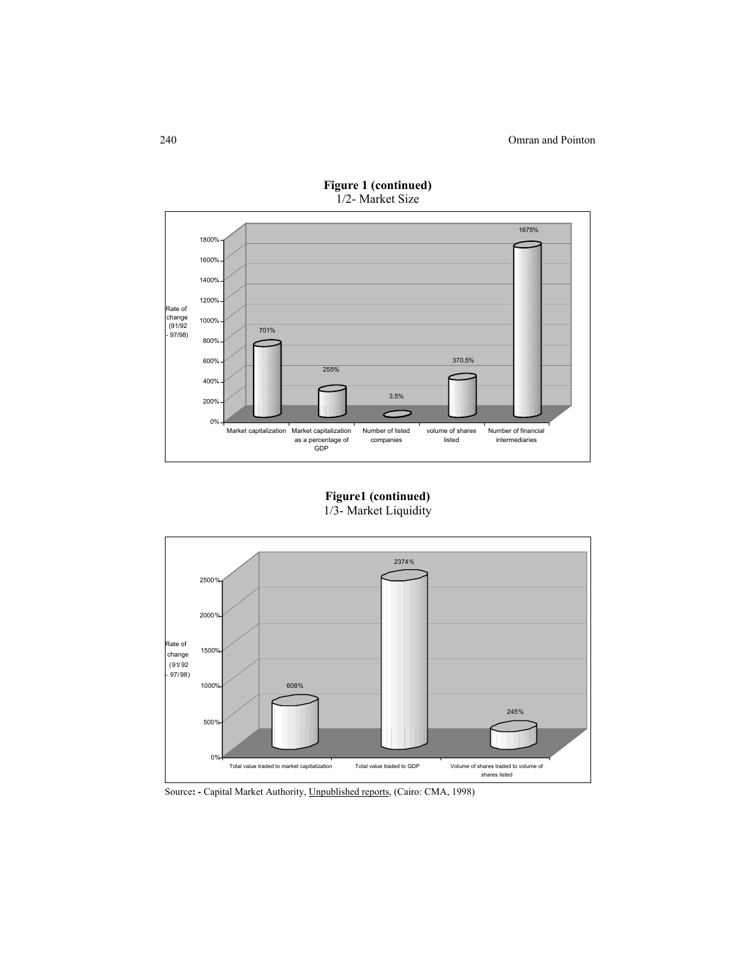

**Figure 1 (continued)**  1/2- Market Size

**Figure1 (continued)**  1/3- Market Liquidity



Source**: -** Capital Market Authority, Unpublished reports, (Cairo: CMA, 1998)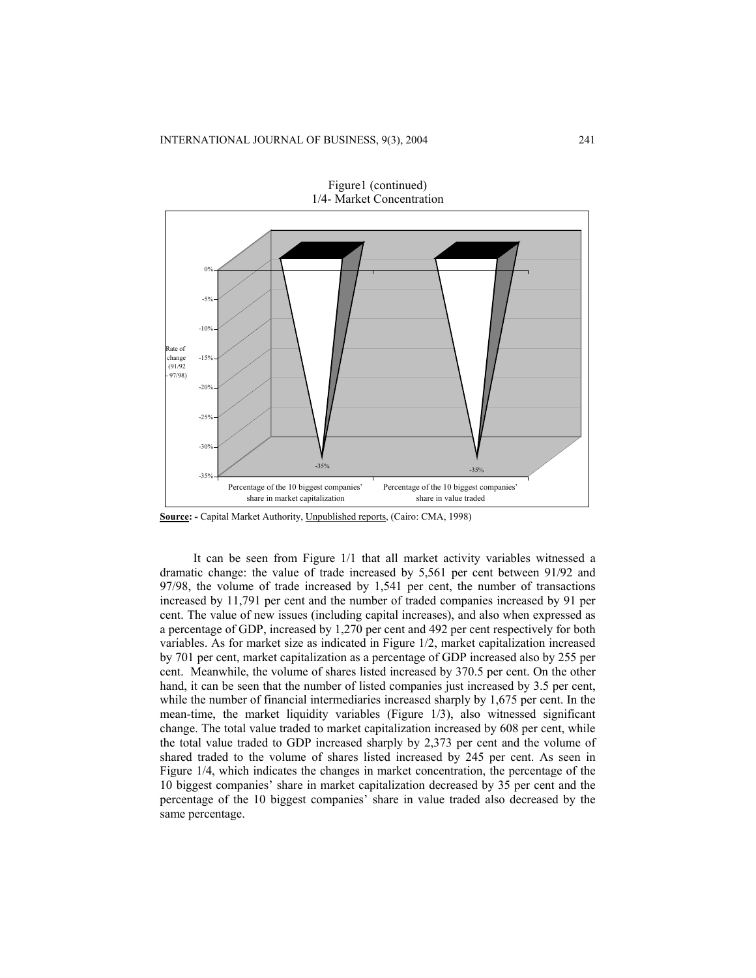

Figure1 (continued)

**Source: -** Capital Market Authority, Unpublished reports, (Cairo: CMA, 1998)

It can be seen from Figure 1/1 that all market activity variables witnessed a dramatic change: the value of trade increased by 5,561 per cent between 91/92 and 97/98, the volume of trade increased by 1,541 per cent, the number of transactions increased by 11,791 per cent and the number of traded companies increased by 91 per cent. The value of new issues (including capital increases), and also when expressed as a percentage of GDP, increased by 1,270 per cent and 492 per cent respectively for both variables. As for market size as indicated in Figure 1/2, market capitalization increased by 701 per cent, market capitalization as a percentage of GDP increased also by 255 per cent. Meanwhile, the volume of shares listed increased by 370.5 per cent. On the other hand, it can be seen that the number of listed companies just increased by 3.5 per cent, while the number of financial intermediaries increased sharply by 1,675 per cent. In the mean-time, the market liquidity variables (Figure 1/3), also witnessed significant change. The total value traded to market capitalization increased by 608 per cent, while the total value traded to GDP increased sharply by 2,373 per cent and the volume of shared traded to the volume of shares listed increased by 245 per cent. As seen in Figure 1/4, which indicates the changes in market concentration, the percentage of the 10 biggest companies' share in market capitalization decreased by 35 per cent and the percentage of the 10 biggest companies' share in value traded also decreased by the same percentage.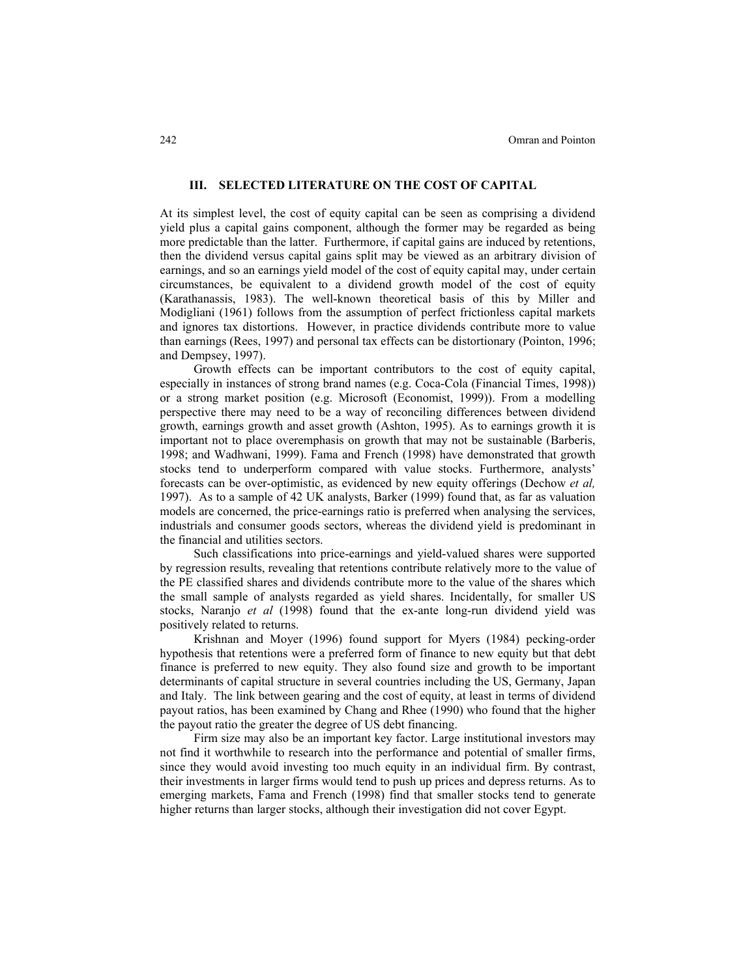## **III. SELECTED LITERATURE ON THE COST OF CAPITAL**

At its simplest level, the cost of equity capital can be seen as comprising a dividend yield plus a capital gains component, although the former may be regarded as being more predictable than the latter. Furthermore, if capital gains are induced by retentions, then the dividend versus capital gains split may be viewed as an arbitrary division of earnings, and so an earnings yield model of the cost of equity capital may, under certain circumstances, be equivalent to a dividend growth model of the cost of equity (Karathanassis, 1983). The well-known theoretical basis of this by Miller and Modigliani (1961) follows from the assumption of perfect frictionless capital markets and ignores tax distortions. However, in practice dividends contribute more to value than earnings (Rees, 1997) and personal tax effects can be distortionary (Pointon, 1996; and Dempsey, 1997).

Growth effects can be important contributors to the cost of equity capital, especially in instances of strong brand names (e.g. Coca-Cola (Financial Times, 1998)) or a strong market position (e.g. Microsoft (Economist, 1999)). From a modelling perspective there may need to be a way of reconciling differences between dividend growth, earnings growth and asset growth (Ashton, 1995). As to earnings growth it is important not to place overemphasis on growth that may not be sustainable (Barberis, 1998; and Wadhwani, 1999). Fama and French (1998) have demonstrated that growth stocks tend to underperform compared with value stocks. Furthermore, analysts' forecasts can be over-optimistic, as evidenced by new equity offerings (Dechow *et al,* 1997). As to a sample of 42 UK analysts, Barker (1999) found that, as far as valuation models are concerned, the price-earnings ratio is preferred when analysing the services, industrials and consumer goods sectors, whereas the dividend yield is predominant in the financial and utilities sectors.

Such classifications into price-earnings and yield-valued shares were supported by regression results, revealing that retentions contribute relatively more to the value of the PE classified shares and dividends contribute more to the value of the shares which the small sample of analysts regarded as yield shares. Incidentally, for smaller US stocks, Naranjo *et al* (1998) found that the ex-ante long-run dividend yield was positively related to returns.

Krishnan and Moyer (1996) found support for Myers (1984) pecking-order hypothesis that retentions were a preferred form of finance to new equity but that debt finance is preferred to new equity. They also found size and growth to be important determinants of capital structure in several countries including the US, Germany, Japan and Italy. The link between gearing and the cost of equity, at least in terms of dividend payout ratios, has been examined by Chang and Rhee (1990) who found that the higher the payout ratio the greater the degree of US debt financing.

Firm size may also be an important key factor. Large institutional investors may not find it worthwhile to research into the performance and potential of smaller firms, since they would avoid investing too much equity in an individual firm. By contrast, their investments in larger firms would tend to push up prices and depress returns. As to emerging markets, Fama and French (1998) find that smaller stocks tend to generate higher returns than larger stocks, although their investigation did not cover Egypt.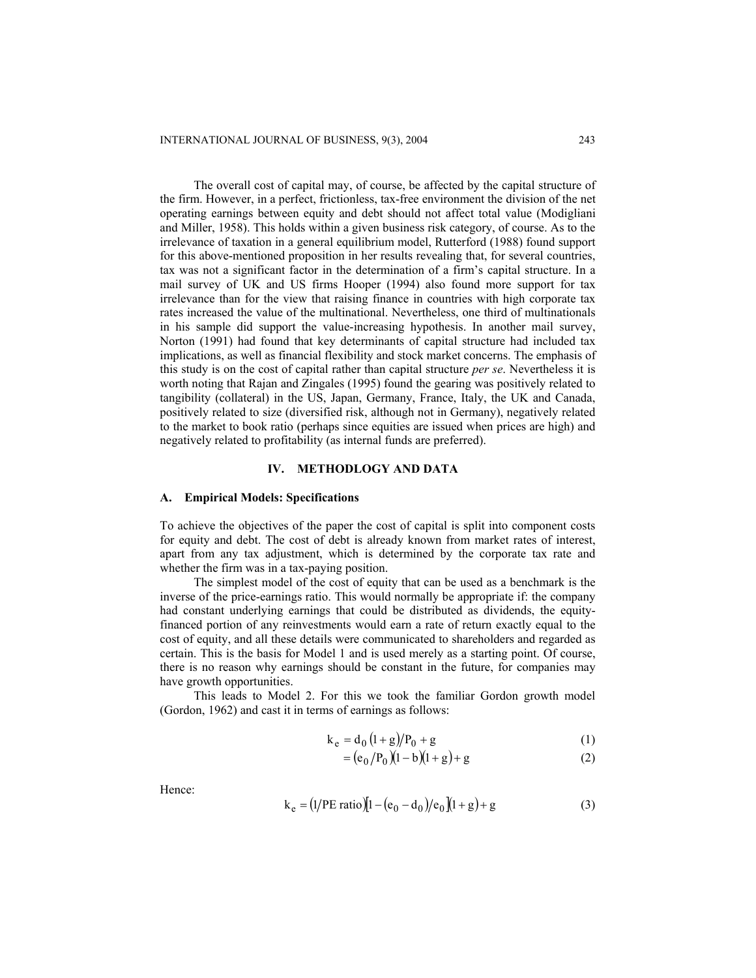The overall cost of capital may, of course, be affected by the capital structure of the firm. However, in a perfect, frictionless, tax-free environment the division of the net operating earnings between equity and debt should not affect total value (Modigliani and Miller, 1958). This holds within a given business risk category, of course. As to the irrelevance of taxation in a general equilibrium model, Rutterford (1988) found support for this above-mentioned proposition in her results revealing that, for several countries, tax was not a significant factor in the determination of a firm's capital structure. In a mail survey of UK and US firms Hooper (1994) also found more support for tax irrelevance than for the view that raising finance in countries with high corporate tax rates increased the value of the multinational. Nevertheless, one third of multinationals in his sample did support the value-increasing hypothesis. In another mail survey, Norton (1991) had found that key determinants of capital structure had included tax implications, as well as financial flexibility and stock market concerns. The emphasis of this study is on the cost of capital rather than capital structure *per se*. Nevertheless it is worth noting that Rajan and Zingales (1995) found the gearing was positively related to tangibility (collateral) in the US, Japan, Germany, France, Italy, the UK and Canada, positively related to size (diversified risk, although not in Germany), negatively related to the market to book ratio (perhaps since equities are issued when prices are high) and negatively related to profitability (as internal funds are preferred).

### **IV. METHODLOGY AND DATA**

### **A. Empirical Models: Specifications**

To achieve the objectives of the paper the cost of capital is split into component costs for equity and debt. The cost of debt is already known from market rates of interest, apart from any tax adjustment, which is determined by the corporate tax rate and whether the firm was in a tax-paying position.

The simplest model of the cost of equity that can be used as a benchmark is the inverse of the price-earnings ratio. This would normally be appropriate if: the company had constant underlying earnings that could be distributed as dividends, the equityfinanced portion of any reinvestments would earn a rate of return exactly equal to the cost of equity, and all these details were communicated to shareholders and regarded as certain. This is the basis for Model 1 and is used merely as a starting point. Of course, there is no reason why earnings should be constant in the future, for companies may have growth opportunities.

This leads to Model 2. For this we took the familiar Gordon growth model (Gordon, 1962) and cast it in terms of earnings as follows:

$$
k_e = d_0 (1 + g)/P_0 + g \tag{1}
$$

$$
= (e_0/P_0)(1-b)(1+g)+g
$$
 (2)

Hence:

$$
k_e = (1/PE ratio)[1 - (e_0 - d_0)/e_0](1 + g) + g
$$
 (3)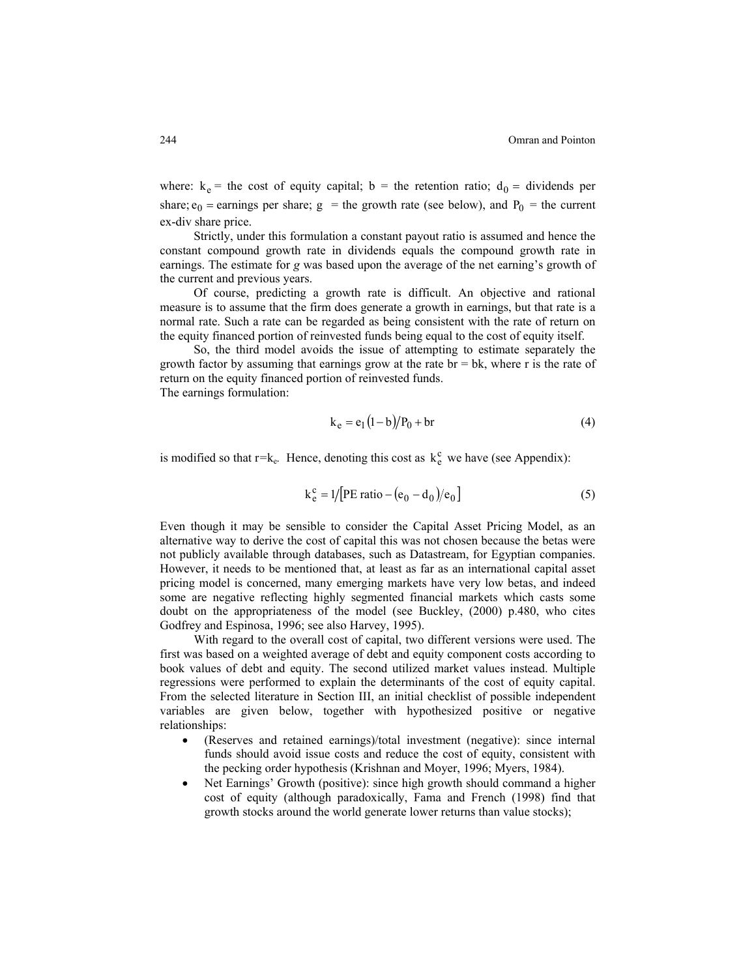where:  $k_e$  = the cost of equity capital; b = the retention ratio;  $d_0$  = dividends per share;  $e_0$  = earnings per share; g = the growth rate (see below), and P<sub>0</sub> = the current ex-div share price.

Strictly, under this formulation a constant payout ratio is assumed and hence the constant compound growth rate in dividends equals the compound growth rate in earnings. The estimate for *g* was based upon the average of the net earning's growth of the current and previous years.

Of course, predicting a growth rate is difficult. An objective and rational measure is to assume that the firm does generate a growth in earnings, but that rate is a normal rate. Such a rate can be regarded as being consistent with the rate of return on the equity financed portion of reinvested funds being equal to the cost of equity itself.

So, the third model avoids the issue of attempting to estimate separately the growth factor by assuming that earnings grow at the rate br  $=$  bk, where r is the rate of return on the equity financed portion of reinvested funds. The earnings formulation:

$$
k_e = e_1 (1 - b)/P_0 + br
$$
 (4)

is modified so that  $r = k_e$ . Hence, denoting this cost as  $k_e^c$  we have (see Appendix):

$$
k_e^c = 1/[PE ratio - (e_0 - d_0)/e_0]
$$
 (5)

Even though it may be sensible to consider the Capital Asset Pricing Model, as an alternative way to derive the cost of capital this was not chosen because the betas were not publicly available through databases, such as Datastream, for Egyptian companies. However, it needs to be mentioned that, at least as far as an international capital asset pricing model is concerned, many emerging markets have very low betas, and indeed some are negative reflecting highly segmented financial markets which casts some doubt on the appropriateness of the model (see Buckley, (2000) p.480, who cites Godfrey and Espinosa, 1996; see also Harvey, 1995).

With regard to the overall cost of capital, two different versions were used. The first was based on a weighted average of debt and equity component costs according to book values of debt and equity. The second utilized market values instead. Multiple regressions were performed to explain the determinants of the cost of equity capital. From the selected literature in Section III, an initial checklist of possible independent variables are given below, together with hypothesized positive or negative relationships:

- (Reserves and retained earnings)/total investment (negative): since internal funds should avoid issue costs and reduce the cost of equity, consistent with the pecking order hypothesis (Krishnan and Moyer, 1996; Myers, 1984).
- Net Earnings' Growth (positive): since high growth should command a higher cost of equity (although paradoxically, Fama and French (1998) find that growth stocks around the world generate lower returns than value stocks);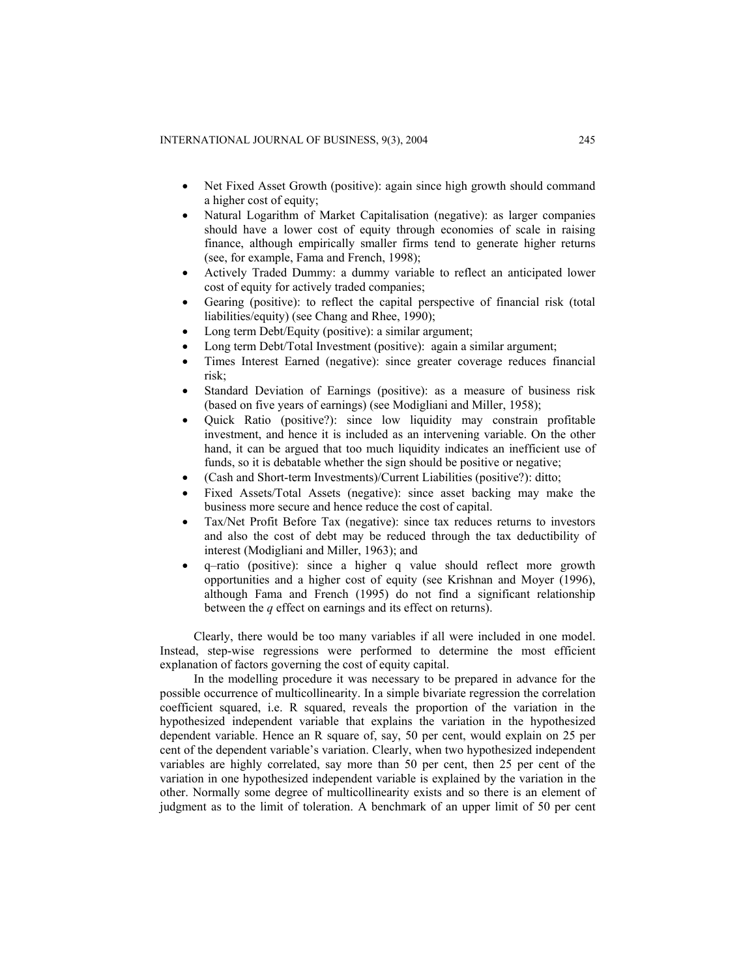- Net Fixed Asset Growth (positive): again since high growth should command a higher cost of equity;
- Natural Logarithm of Market Capitalisation (negative): as larger companies should have a lower cost of equity through economies of scale in raising finance, although empirically smaller firms tend to generate higher returns (see, for example, Fama and French, 1998);
- Actively Traded Dummy: a dummy variable to reflect an anticipated lower cost of equity for actively traded companies;
- Gearing (positive): to reflect the capital perspective of financial risk (total liabilities/equity) (see Chang and Rhee, 1990);
- Long term Debt/Equity (positive): a similar argument;
- Long term Debt/Total Investment (positive): again a similar argument;
- Times Interest Earned (negative): since greater coverage reduces financial risk;
- Standard Deviation of Earnings (positive): as a measure of business risk (based on five years of earnings) (see Modigliani and Miller, 1958);
- Quick Ratio (positive?): since low liquidity may constrain profitable investment, and hence it is included as an intervening variable. On the other hand, it can be argued that too much liquidity indicates an inefficient use of funds, so it is debatable whether the sign should be positive or negative;
- (Cash and Short-term Investments)/Current Liabilities (positive?): ditto;
- Fixed Assets/Total Assets (negative): since asset backing may make the business more secure and hence reduce the cost of capital.
- Tax/Net Profit Before Tax (negative): since tax reduces returns to investors and also the cost of debt may be reduced through the tax deductibility of interest (Modigliani and Miller, 1963); and
- q–ratio (positive): since a higher q value should reflect more growth opportunities and a higher cost of equity (see Krishnan and Moyer (1996), although Fama and French (1995) do not find a significant relationship between the *q* effect on earnings and its effect on returns).

Clearly, there would be too many variables if all were included in one model. Instead, step-wise regressions were performed to determine the most efficient explanation of factors governing the cost of equity capital.

In the modelling procedure it was necessary to be prepared in advance for the possible occurrence of multicollinearity. In a simple bivariate regression the correlation coefficient squared, i.e. R squared, reveals the proportion of the variation in the hypothesized independent variable that explains the variation in the hypothesized dependent variable. Hence an R square of, say, 50 per cent, would explain on 25 per cent of the dependent variable's variation. Clearly, when two hypothesized independent variables are highly correlated, say more than 50 per cent, then 25 per cent of the variation in one hypothesized independent variable is explained by the variation in the other. Normally some degree of multicollinearity exists and so there is an element of judgment as to the limit of toleration. A benchmark of an upper limit of 50 per cent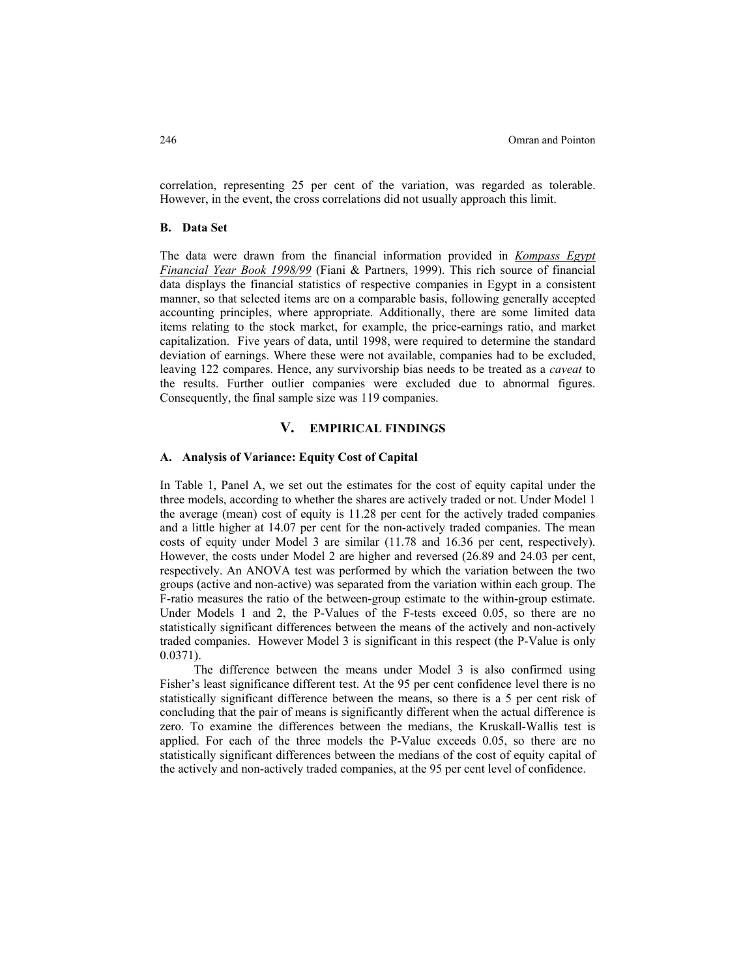correlation, representing 25 per cent of the variation, was regarded as tolerable. However, in the event, the cross correlations did not usually approach this limit.

### **B. Data Set**

The data were drawn from the financial information provided in *Kompass Egypt Financial Year Book 1998/99* (Fiani & Partners, 1999). This rich source of financial data displays the financial statistics of respective companies in Egypt in a consistent manner, so that selected items are on a comparable basis, following generally accepted accounting principles, where appropriate. Additionally, there are some limited data items relating to the stock market, for example, the price-earnings ratio, and market capitalization. Five years of data, until 1998, were required to determine the standard deviation of earnings. Where these were not available, companies had to be excluded, leaving 122 compares. Hence, any survivorship bias needs to be treated as a *caveat* to the results. Further outlier companies were excluded due to abnormal figures. Consequently, the final sample size was 119 companies.

## **V. EMPIRICAL FINDINGS**

### **A. Analysis of Variance: Equity Cost of Capital**

In Table 1, Panel A, we set out the estimates for the cost of equity capital under the three models, according to whether the shares are actively traded or not. Under Model 1 the average (mean) cost of equity is 11.28 per cent for the actively traded companies and a little higher at 14.07 per cent for the non-actively traded companies. The mean costs of equity under Model 3 are similar (11.78 and 16.36 per cent, respectively). However, the costs under Model 2 are higher and reversed (26.89 and 24.03 per cent, respectively. An ANOVA test was performed by which the variation between the two groups (active and non-active) was separated from the variation within each group. The F-ratio measures the ratio of the between-group estimate to the within-group estimate. Under Models 1 and 2, the P-Values of the F-tests exceed 0.05, so there are no statistically significant differences between the means of the actively and non-actively traded companies. However Model 3 is significant in this respect (the P-Value is only 0.0371).

The difference between the means under Model 3 is also confirmed using Fisher's least significance different test. At the 95 per cent confidence level there is no statistically significant difference between the means, so there is a 5 per cent risk of concluding that the pair of means is significantly different when the actual difference is zero. To examine the differences between the medians, the Kruskall-Wallis test is applied. For each of the three models the P-Value exceeds 0.05, so there are no statistically significant differences between the medians of the cost of equity capital of the actively and non-actively traded companies, at the 95 per cent level of confidence.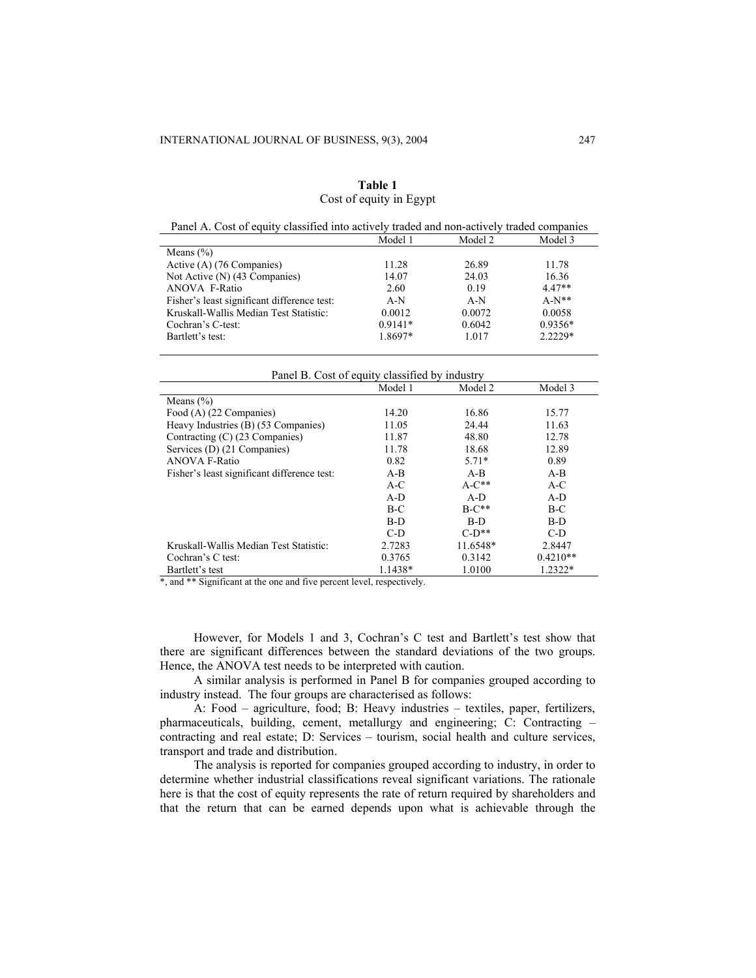| Table 1                 |  |
|-------------------------|--|
| Cost of equity in Egypt |  |

| Panel A. Cost of equity classified into actively traded and non-actively traded companies |           |         |           |
|-------------------------------------------------------------------------------------------|-----------|---------|-----------|
|                                                                                           | Model 1   | Model 2 | Model 3   |
| Means $(\% )$                                                                             |           |         |           |
| Active (A) (76 Companies)                                                                 | 11.28     | 26.89   | 11.78     |
| Not Active (N) (43 Companies)                                                             | 14.07     | 24.03   | 16.36     |
| ANOVA F-Ratio                                                                             | 2.60      | 0.19    | $4.47**$  |
| Fisher's least significant difference test:                                               | $A-N$     | $A-N$   | $A-N**$   |
| Kruskall-Wallis Median Test Statistic:                                                    | 0.0012    | 0.0072  | 0.0058    |
| Cochran's C-test:                                                                         | $0.9141*$ | 0.6042  | $0.9356*$ |
| Bartlett's test:                                                                          | 1.8697*   | 1.017   | $2.2229*$ |
|                                                                                           |           |         |           |

#### Panel B. Cost of equity classified by industry

|                                             | Model 1 | Model 2  | Model 3    |
|---------------------------------------------|---------|----------|------------|
| Means $(\% )$                               |         |          |            |
| Food (A) (22 Companies)                     | 14.20   | 16.86    | 15.77      |
| Heavy Industries (B) (53 Companies)         | 11.05   | 24.44    | 11.63      |
| Contracting (C) (23 Companies)              | 11.87   | 48.80    | 12.78      |
| Services (D) (21 Companies)                 | 11.78   | 18.68    | 12.89      |
| <b>ANOVA F-Ratio</b>                        | 0.82    | $5.71*$  | 0.89       |
| Fisher's least significant difference test. | $A-B$   | $A-B$    | $A-B$      |
|                                             | $A-C$   | $A-C**$  | $A-C$      |
|                                             | $A-D$   | $A-D$    | $A-D$      |
|                                             | $B-C$   | $B-C**$  | $B-C$      |
|                                             | $B-D$   | $B-D$    | $B-D$      |
|                                             | $C-D$   | $C-D**$  | $C-D$      |
| Kruskall-Wallis Median Test Statistic:      | 2.7283  | 11.6548* | 2.8447     |
| Cochran's C test:                           | 0.3765  | 0.3142   | $0.4210**$ |
| Bartlett's test                             | 1.1438* | 1.0100   | 1.2322*    |

\*, and \*\* Significant at the one and five percent level, respectively.

However, for Models 1 and 3, Cochran's C test and Bartlett's test show that there are significant differences between the standard deviations of the two groups. Hence, the ANOVA test needs to be interpreted with caution.

A similar analysis is performed in Panel B for companies grouped according to industry instead. The four groups are characterised as follows:

A: Food – agriculture, food; B: Heavy industries – textiles, paper, fertilizers, pharmaceuticals, building, cement, metallurgy and engineering; C: Contracting – contracting and real estate; D: Services – tourism, social health and culture services, transport and trade and distribution.

The analysis is reported for companies grouped according to industry, in order to determine whether industrial classifications reveal significant variations. The rationale here is that the cost of equity represents the rate of return required by shareholders and that the return that can be earned depends upon what is achievable through the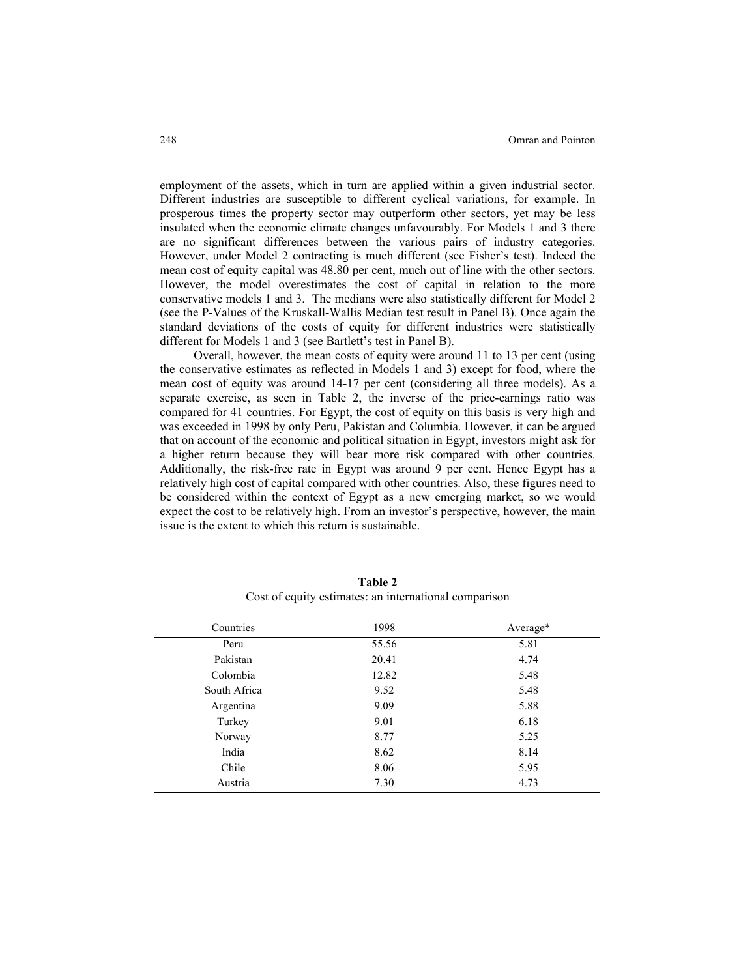employment of the assets, which in turn are applied within a given industrial sector. Different industries are susceptible to different cyclical variations, for example. In prosperous times the property sector may outperform other sectors, yet may be less insulated when the economic climate changes unfavourably. For Models 1 and 3 there are no significant differences between the various pairs of industry categories. However, under Model 2 contracting is much different (see Fisher's test). Indeed the mean cost of equity capital was 48.80 per cent, much out of line with the other sectors. However, the model overestimates the cost of capital in relation to the more conservative models 1 and 3. The medians were also statistically different for Model 2 (see the P-Values of the Kruskall-Wallis Median test result in Panel B). Once again the standard deviations of the costs of equity for different industries were statistically different for Models 1 and 3 (see Bartlett's test in Panel B).

Overall, however, the mean costs of equity were around 11 to 13 per cent (using the conservative estimates as reflected in Models 1 and 3) except for food, where the mean cost of equity was around 14-17 per cent (considering all three models). As a separate exercise, as seen in Table 2, the inverse of the price-earnings ratio was compared for 41 countries. For Egypt, the cost of equity on this basis is very high and was exceeded in 1998 by only Peru, Pakistan and Columbia. However, it can be argued that on account of the economic and political situation in Egypt, investors might ask for a higher return because they will bear more risk compared with other countries. Additionally, the risk-free rate in Egypt was around 9 per cent. Hence Egypt has a relatively high cost of capital compared with other countries. Also, these figures need to be considered within the context of Egypt as a new emerging market, so we would expect the cost to be relatively high. From an investor's perspective, however, the main issue is the extent to which this return is sustainable.

| Countries    | 1998  | Average* |
|--------------|-------|----------|
| Peru         | 55.56 | 5.81     |
| Pakistan     | 20.41 | 4.74     |
| Colombia     | 12.82 | 5.48     |
| South Africa | 9.52  | 5.48     |
| Argentina    | 9.09  | 5.88     |
| Turkey       | 9.01  | 6.18     |
| Norway       | 8.77  | 5.25     |
| India        | 8.62  | 8.14     |
| Chile        | 8.06  | 5.95     |
| Austria      | 7.30  | 4.73     |

**Table 2** Cost of equity estimates: an international comparison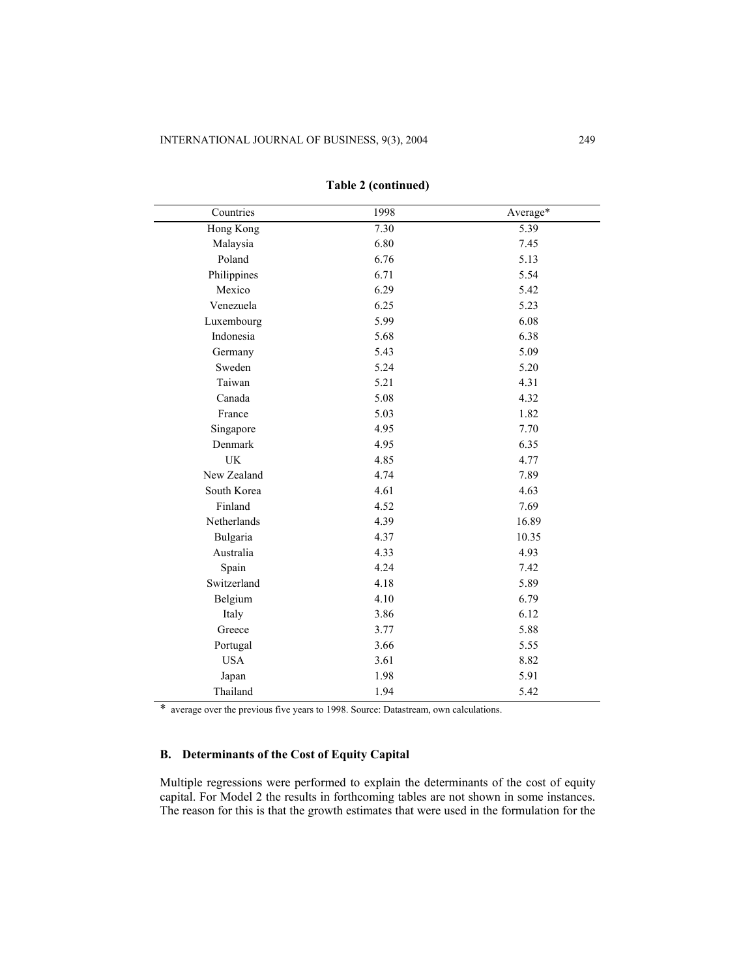| Countries   | 1998 | Average* |
|-------------|------|----------|
| Hong Kong   | 7.30 | 5.39     |
| Malaysia    | 6.80 | 7.45     |
| Poland      | 6.76 | 5.13     |
| Philippines | 6.71 | 5.54     |
| Mexico      | 6.29 | 5.42     |
| Venezuela   | 6.25 | 5.23     |
| Luxembourg  | 5.99 | 6.08     |
| Indonesia   | 5.68 | 6.38     |
| Germany     | 5.43 | 5.09     |
| Sweden      | 5.24 | 5.20     |
| Taiwan      | 5.21 | 4.31     |
| Canada      | 5.08 | 4.32     |
| France      | 5.03 | 1.82     |
| Singapore   | 4.95 | 7.70     |
| Denmark     | 4.95 | 6.35     |
| <b>UK</b>   | 4.85 | 4.77     |
| New Zealand | 4.74 | 7.89     |
| South Korea | 4.61 | 4.63     |
| Finland     | 4.52 | 7.69     |
| Netherlands | 4.39 | 16.89    |
| Bulgaria    | 4.37 | 10.35    |
| Australia   | 4.33 | 4.93     |
| Spain       | 4.24 | 7.42     |
| Switzerland | 4.18 | 5.89     |
| Belgium     | 4.10 | 6.79     |
| Italy       | 3.86 | 6.12     |
| Greece      | 3.77 | 5.88     |
| Portugal    | 3.66 | 5.55     |
| <b>USA</b>  | 3.61 | 8.82     |
| Japan       | 1.98 | 5.91     |
| Thailand    | 1.94 | 5.42     |

# **Table 2 (continued)**

\* average over the previous five years to 1998. Source: Datastream, own calculations.

# **B. Determinants of the Cost of Equity Capital**

Multiple regressions were performed to explain the determinants of the cost of equity capital. For Model 2 the results in forthcoming tables are not shown in some instances. The reason for this is that the growth estimates that were used in the formulation for the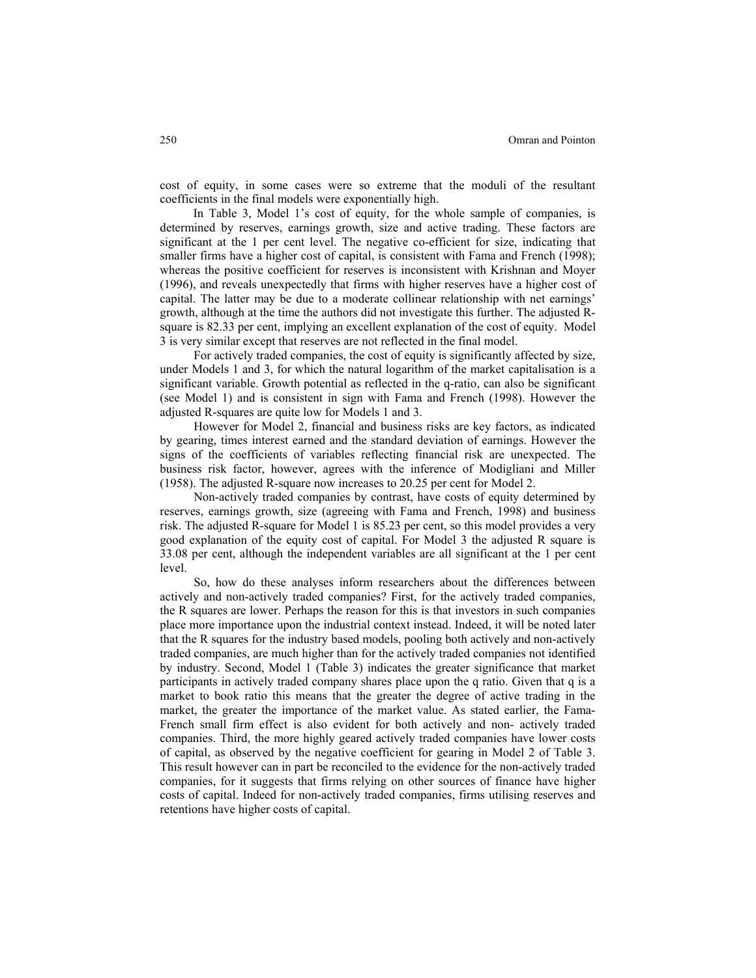cost of equity, in some cases were so extreme that the moduli of the resultant coefficients in the final models were exponentially high.

In Table 3, Model 1's cost of equity, for the whole sample of companies, is determined by reserves, earnings growth, size and active trading. These factors are significant at the 1 per cent level. The negative co-efficient for size, indicating that smaller firms have a higher cost of capital, is consistent with Fama and French (1998); whereas the positive coefficient for reserves is inconsistent with Krishnan and Moyer (1996), and reveals unexpectedly that firms with higher reserves have a higher cost of capital. The latter may be due to a moderate collinear relationship with net earnings' growth, although at the time the authors did not investigate this further. The adjusted Rsquare is 82.33 per cent, implying an excellent explanation of the cost of equity. Model 3 is very similar except that reserves are not reflected in the final model.

For actively traded companies, the cost of equity is significantly affected by size, under Models 1 and 3, for which the natural logarithm of the market capitalisation is a significant variable. Growth potential as reflected in the q-ratio, can also be significant (see Model 1) and is consistent in sign with Fama and French (1998). However the adjusted R-squares are quite low for Models 1 and 3.

However for Model 2, financial and business risks are key factors, as indicated by gearing, times interest earned and the standard deviation of earnings. However the signs of the coefficients of variables reflecting financial risk are unexpected. The business risk factor, however, agrees with the inference of Modigliani and Miller (1958). The adjusted R-square now increases to 20.25 per cent for Model 2.

Non-actively traded companies by contrast, have costs of equity determined by reserves, earnings growth, size (agreeing with Fama and French, 1998) and business risk. The adjusted R-square for Model 1 is 85.23 per cent, so this model provides a very good explanation of the equity cost of capital. For Model 3 the adjusted R square is 33.08 per cent, although the independent variables are all significant at the 1 per cent level.

So, how do these analyses inform researchers about the differences between actively and non-actively traded companies? First, for the actively traded companies, the R squares are lower. Perhaps the reason for this is that investors in such companies place more importance upon the industrial context instead. Indeed, it will be noted later that the R squares for the industry based models, pooling both actively and non-actively traded companies, are much higher than for the actively traded companies not identified by industry. Second, Model 1 (Table 3) indicates the greater significance that market participants in actively traded company shares place upon the q ratio. Given that q is a market to book ratio this means that the greater the degree of active trading in the market, the greater the importance of the market value. As stated earlier, the Fama-French small firm effect is also evident for both actively and non- actively traded companies. Third, the more highly geared actively traded companies have lower costs of capital, as observed by the negative coefficient for gearing in Model 2 of Table 3. This result however can in part be reconciled to the evidence for the non-actively traded companies, for it suggests that firms relying on other sources of finance have higher costs of capital. Indeed for non-actively traded companies, firms utilising reserves and retentions have higher costs of capital.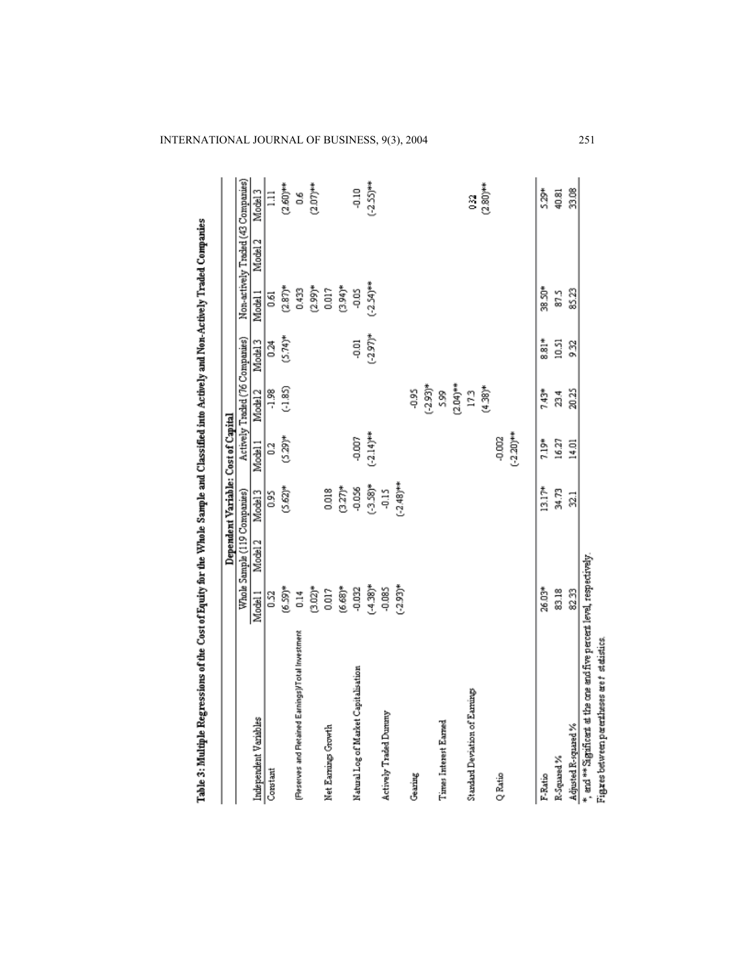|                                                                        |                |                              | Dependent Variable: Cost of Capital |              |                                |                    |              |                                    |              |
|------------------------------------------------------------------------|----------------|------------------------------|-------------------------------------|--------------|--------------------------------|--------------------|--------------|------------------------------------|--------------|
|                                                                        |                | Whole Sample (119 Companies) |                                     |              | Actively Traded (76 Companies) |                    |              | Non-actively Traded (43 Companies) |              |
| Independent Variables                                                  | Model 1        | Model <sub>2</sub>           | Model <sub>3</sub>                  | Model 1      | Model <sub>2</sub>             | Model <sub>3</sub> | Model 1      | Model 2                            | Model 3      |
| Constant                                                               | 0.52           |                              | $\frac{5}{2}$                       | 3            | $-1.98$                        | 24                 | 0.61         |                                    | $\Xi$        |
|                                                                        | $(6.59)*$      |                              | $(5.62)^*$                          | $(5.29)^*$   | (.1.85)                        | $(5.74)^{*}$       | $(2.87)$ *   |                                    | $(2.60)***$  |
| (Fleserves and Fletained Earnings)/Total Investment                    | $\frac{4}{10}$ |                              |                                     |              |                                |                    | 0.433        |                                    | 8o           |
|                                                                        | $(3.02)^*$     |                              |                                     |              |                                |                    | $(2.99)^*$   |                                    | $(2.07)***$  |
| Net Earning Growth                                                     | 0.017          |                              | 0.018                               |              |                                |                    | 0.017        |                                    |              |
|                                                                        | $(6.68)*$      |                              | $(3.27)^*$                          |              |                                |                    | $(3.94)^*$   |                                    |              |
| Natural Log of Market Capitalisation                                   | -0.032         |                              | $-0.056$                            | -0.007       |                                | ទី                 | ទី           |                                    | -0.10        |
|                                                                        | $(-4.38)^*$    |                              | $(-3.58)*$                          | $(-2.14)$ ** |                                | $(-2.97)^{*}$      | $(-2.54)$ ** |                                    | $(-2.55)***$ |
| Actively Traded Dununy                                                 | 0.085          |                              | -0.15                               |              |                                |                    |              |                                    |              |
|                                                                        | $(-2.93)^*$    |                              | $(-2.48)***$                        |              |                                |                    |              |                                    |              |
| Gearing                                                                |                |                              |                                     |              | -0.95                          |                    |              |                                    |              |
|                                                                        |                |                              |                                     |              | $(2.93)*$                      |                    |              |                                    |              |
| Times Interest Earned                                                  |                |                              |                                     |              | Ş.                             |                    |              |                                    |              |
|                                                                        |                |                              |                                     |              | $(2.04)$ **                    |                    |              |                                    |              |
| Standard Deviation of Earnings                                         |                |                              |                                     |              | 173                            |                    |              |                                    | I            |
|                                                                        |                |                              |                                     |              | $(4.38)$ *                     |                    |              |                                    | $(2.80)$ **  |
| Q Ratio                                                                |                |                              |                                     | $-0.002$     |                                |                    |              |                                    |              |
|                                                                        |                |                              |                                     | $(-2.20)***$ |                                |                    |              |                                    |              |
| F-Ratio                                                                | 26,03*         |                              | $13.17*$                            | 7.19*        | 7.43*                          | $\frac{*}{80}$     | 38.SP*       |                                    | Š.           |
| R-Squared %                                                            | 83.18          |                              | 34.73                               | 16.27        | 23.4                           | 10.51              | 87.5         |                                    | 40.81        |
| Adjusted R-squared %                                                   | 82.33          |                              | 32.1                                | 14.01        | 20.25                          | 932                | 85.23        |                                    | 33.08        |
| *, and ** Siguificant at the one and five percent level, respectively. |                |                              |                                     |              |                                |                    |              |                                    |              |
| Figures between permineses are t staistics.                            |                |                              |                                     |              |                                |                    |              |                                    |              |

Table 3: Multiple Regressions of the Cost of Equity for the Whole Sample and Classified into Actively and Non-Actively Traded Companies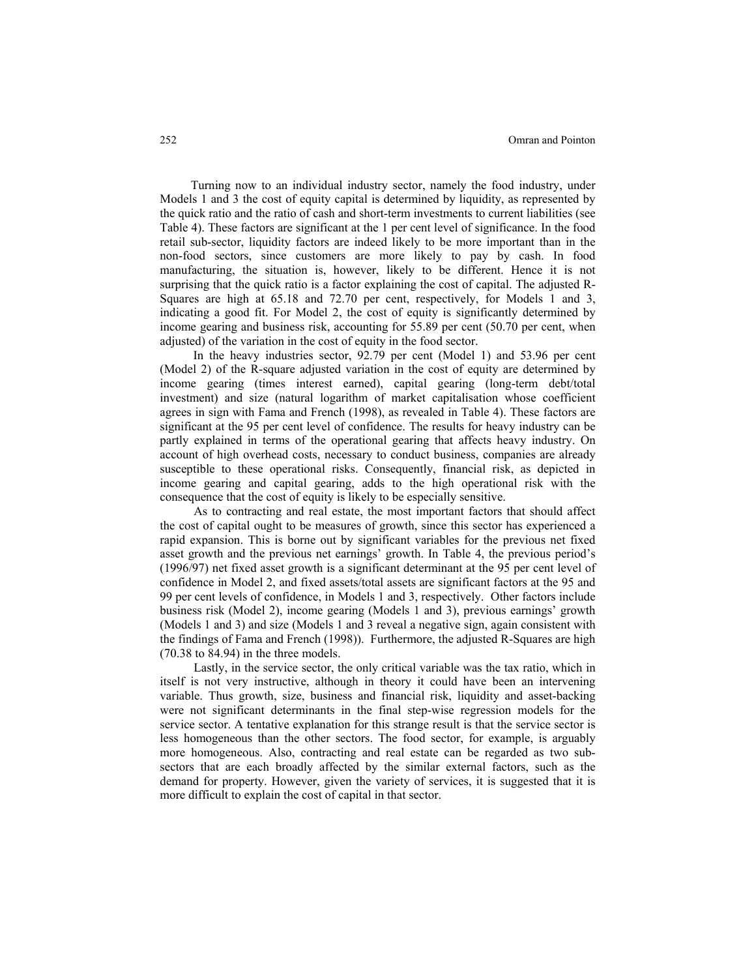Turning now to an individual industry sector, namely the food industry, under Models 1 and 3 the cost of equity capital is determined by liquidity, as represented by the quick ratio and the ratio of cash and short-term investments to current liabilities (see Table 4). These factors are significant at the 1 per cent level of significance. In the food retail sub-sector, liquidity factors are indeed likely to be more important than in the non-food sectors, since customers are more likely to pay by cash. In food manufacturing, the situation is, however, likely to be different. Hence it is not surprising that the quick ratio is a factor explaining the cost of capital. The adjusted R-Squares are high at 65.18 and 72.70 per cent, respectively, for Models 1 and 3, indicating a good fit. For Model 2, the cost of equity is significantly determined by income gearing and business risk, accounting for 55.89 per cent (50.70 per cent, when adjusted) of the variation in the cost of equity in the food sector.

In the heavy industries sector, 92.79 per cent (Model 1) and 53.96 per cent (Model 2) of the R-square adjusted variation in the cost of equity are determined by income gearing (times interest earned), capital gearing (long-term debt/total investment) and size (natural logarithm of market capitalisation whose coefficient agrees in sign with Fama and French (1998), as revealed in Table 4). These factors are significant at the 95 per cent level of confidence. The results for heavy industry can be partly explained in terms of the operational gearing that affects heavy industry. On account of high overhead costs, necessary to conduct business, companies are already susceptible to these operational risks. Consequently, financial risk, as depicted in income gearing and capital gearing, adds to the high operational risk with the consequence that the cost of equity is likely to be especially sensitive.

As to contracting and real estate, the most important factors that should affect the cost of capital ought to be measures of growth, since this sector has experienced a rapid expansion. This is borne out by significant variables for the previous net fixed asset growth and the previous net earnings' growth. In Table 4, the previous period's (1996/97) net fixed asset growth is a significant determinant at the 95 per cent level of confidence in Model 2, and fixed assets/total assets are significant factors at the 95 and 99 per cent levels of confidence, in Models 1 and 3, respectively. Other factors include business risk (Model 2), income gearing (Models 1 and 3), previous earnings' growth (Models 1 and 3) and size (Models 1 and 3 reveal a negative sign, again consistent with the findings of Fama and French (1998)). Furthermore, the adjusted R-Squares are high (70.38 to 84.94) in the three models.

Lastly, in the service sector, the only critical variable was the tax ratio, which in itself is not very instructive, although in theory it could have been an intervening variable. Thus growth, size, business and financial risk, liquidity and asset-backing were not significant determinants in the final step-wise regression models for the service sector. A tentative explanation for this strange result is that the service sector is less homogeneous than the other sectors. The food sector, for example, is arguably more homogeneous. Also, contracting and real estate can be regarded as two subsectors that are each broadly affected by the similar external factors, such as the demand for property. However, given the variety of services, it is suggested that it is more difficult to explain the cost of capital in that sector.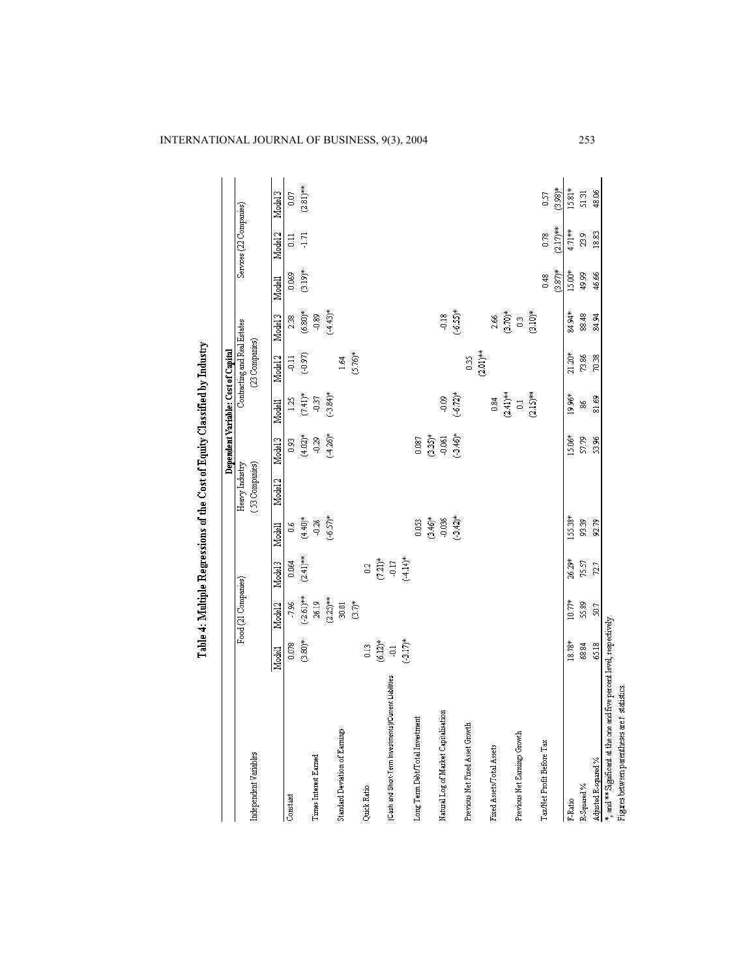|                                                                       |               |                         |                    |             |                                  |                | Dependent Variable: Cost of Capital |                                                |                         |              |                         |             |
|-----------------------------------------------------------------------|---------------|-------------------------|--------------------|-------------|----------------------------------|----------------|-------------------------------------|------------------------------------------------|-------------------------|--------------|-------------------------|-------------|
| Independent Variables                                                 |               | Food (21 Companies)     |                    |             | (53 Companies)<br>Heavy Industry |                |                                     | Contracting and Real Estates<br>(23 Companies) |                         |              | Services (22 Companies) |             |
|                                                                       | Modell        | Model <sub>2</sub>      | Model <sub>3</sub> | Modell      | Model <sub>2</sub>               | Model 3        | Modell                              | Model <sub>2</sub>                             | Model <sub>3</sub>      | Modell       | Model <sub>2</sub>      | Model 3     |
| Constant                                                              | 0.078         | -7.96                   | 0.064              | 80          |                                  | S <sub>3</sub> | 125                                 | $\frac{11}{7}$                                 | 2.38                    | 0.069        | $\Xi$                   | S           |
|                                                                       | $(3.80)*$     | $(-2.61)***$            | $(2.41)***$        | $(4.40)*$   |                                  | $(4.02)^{*}$   | $(7.41)^{*}$                        | (0.97)                                         | $\bigl(6.80\bigr)^\ast$ | $(3.19)^{*}$ | $\overline{1}$          | $(2.81)***$ |
| Times Interest Earned                                                 |               | 26.19                   |                    | $-0.26$     |                                  | $-0.29$        | $\frac{57}{7}$                      |                                                | $^{0.89}$               |              |                         |             |
|                                                                       |               | $(2.25)$ **             |                    | $(-6.57)^*$ |                                  | $(-4.26)^*$    | $(-3.84)$ *                         |                                                | $*(64.43)$ *            |              |                         |             |
| Standard Deviation of Earnings                                        |               | $\frac{5}{20}$          |                    |             |                                  |                |                                     | 1.64                                           |                         |              |                         |             |
|                                                                       |               | $\sum_{i=1}^{n}$        |                    |             |                                  |                |                                     | $(5.76)^*$                                     |                         |              |                         |             |
| Quick Ratio                                                           | $\frac{2}{5}$ |                         | $\tilde{c}$        |             |                                  |                |                                     |                                                |                         |              |                         |             |
|                                                                       |               |                         |                    |             |                                  |                |                                     |                                                |                         |              |                         |             |
| (Cash and Short-Term Investments)/Current Liabilities                 | $(6.12)^*$    |                         | $(7.21)^*$         |             |                                  |                |                                     |                                                |                         |              |                         |             |
|                                                                       | $(-3.17)$ *   |                         | $(-4.14)^*$        |             |                                  |                |                                     |                                                |                         |              |                         |             |
| Long Term Debt/Total Investment                                       |               |                         |                    | 0.053       |                                  | 0.087          |                                     |                                                |                         |              |                         |             |
|                                                                       |               |                         |                    | $(3.46)*$   |                                  | $(3.35)^{*}$   |                                     |                                                |                         |              |                         |             |
| Natural Log of Market Capitalisation                                  |               |                         |                    | 0.036       |                                  | $-0.061$       | ទី                                  |                                                | $-0.18$                 |              |                         |             |
|                                                                       |               |                         |                    | $(-3.42)$ * |                                  | $(-3.46)$ *    | $(-6.72)^*$                         |                                                | $(-6.55)*$              |              |                         |             |
| Previous Net Fixed Asset Growth                                       |               |                         |                    |             |                                  |                |                                     | $\frac{35}{2}$                                 |                         |              |                         |             |
|                                                                       |               |                         |                    |             |                                  |                |                                     | $(2.01)$ **                                    |                         |              |                         |             |
| Fixed Assets/Total Assets                                             |               |                         |                    |             |                                  |                | 0.84                                |                                                | 2.66                    |              |                         |             |
|                                                                       |               |                         |                    |             |                                  |                | $(2.41)***$                         |                                                | $(3.70)$ *              |              |                         |             |
| Previous Net Earnings Growth                                          |               |                         |                    |             |                                  |                | $\vec{a}$                           |                                                | $\mathbb{S}$            |              |                         |             |
|                                                                       |               |                         |                    |             |                                  |                | $(2.15)***$                         |                                                | $\hat{c}$               |              |                         |             |
| TaxNet Profit Before Tax                                              |               |                         |                    |             |                                  |                |                                     |                                                |                         | 0.48         | 800                     | 57          |
|                                                                       |               |                         |                    |             |                                  |                |                                     |                                                |                         | $(3.87)$ *   | $(2.17)***$             | $(3.98)$ *  |
| F-Ratio                                                               | 18.78*        | 10.77*                  | 26.29*             | 155.38*     |                                  | 15.06*         | 19.96*                              | $21.20*$                                       | 84.94*                  | 15.00*       | 4.71**                  | 15.81*      |
| R-Squared %                                                           | 68.84         | 55.89                   | 75.57              | 93.39       |                                  | \$7.79         | 38                                  | 73.86                                          | 88.48                   | 49.99        | 23,9                    | ផ្ទ         |
| Adjusted R-squared $\%$                                               | 65.18         | $\overline{\mathbb{S}}$ | 72.7               | 92.79       |                                  | SS<br>S        | 81.69                               | 70.38                                          | 84.94                   | 46.66        | 18.83                   | 48.06       |
| *, and ** Significant at the one and five percent level, respectively |               |                         |                    |             |                                  |                |                                     |                                                |                         |              |                         |             |

Table 4: Multiple Regressions of the Cost of Equity Classified by Industry

Figues between parentheses are t statistics.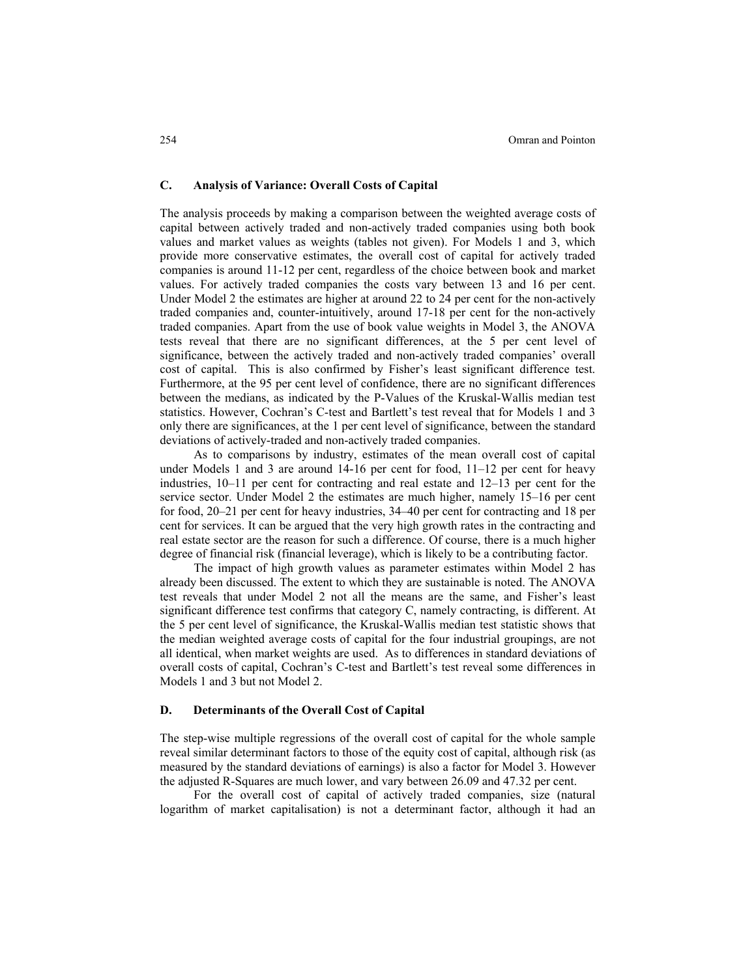### **C. Analysis of Variance: Overall Costs of Capital**

The analysis proceeds by making a comparison between the weighted average costs of capital between actively traded and non-actively traded companies using both book values and market values as weights (tables not given). For Models 1 and 3, which provide more conservative estimates, the overall cost of capital for actively traded companies is around 11-12 per cent, regardless of the choice between book and market values. For actively traded companies the costs vary between 13 and 16 per cent. Under Model 2 the estimates are higher at around 22 to 24 per cent for the non-actively traded companies and, counter-intuitively, around 17-18 per cent for the non-actively traded companies. Apart from the use of book value weights in Model 3, the ANOVA tests reveal that there are no significant differences, at the 5 per cent level of significance, between the actively traded and non-actively traded companies' overall cost of capital. This is also confirmed by Fisher's least significant difference test. Furthermore, at the 95 per cent level of confidence, there are no significant differences between the medians, as indicated by the P-Values of the Kruskal-Wallis median test statistics. However, Cochran's C-test and Bartlett's test reveal that for Models 1 and 3 only there are significances, at the 1 per cent level of significance, between the standard deviations of actively-traded and non-actively traded companies.

As to comparisons by industry, estimates of the mean overall cost of capital under Models 1 and 3 are around 14-16 per cent for food, 11–12 per cent for heavy industries, 10–11 per cent for contracting and real estate and 12–13 per cent for the service sector. Under Model 2 the estimates are much higher, namely 15–16 per cent for food, 20–21 per cent for heavy industries, 34–40 per cent for contracting and 18 per cent for services. It can be argued that the very high growth rates in the contracting and real estate sector are the reason for such a difference. Of course, there is a much higher degree of financial risk (financial leverage), which is likely to be a contributing factor.

The impact of high growth values as parameter estimates within Model 2 has already been discussed. The extent to which they are sustainable is noted. The ANOVA test reveals that under Model 2 not all the means are the same, and Fisher's least significant difference test confirms that category C, namely contracting, is different. At the 5 per cent level of significance, the Kruskal-Wallis median test statistic shows that the median weighted average costs of capital for the four industrial groupings, are not all identical, when market weights are used. As to differences in standard deviations of overall costs of capital, Cochran's C-test and Bartlett's test reveal some differences in Models 1 and 3 but not Model 2.

### **D. Determinants of the Overall Cost of Capital**

The step-wise multiple regressions of the overall cost of capital for the whole sample reveal similar determinant factors to those of the equity cost of capital, although risk (as measured by the standard deviations of earnings) is also a factor for Model 3. However the adjusted R-Squares are much lower, and vary between 26.09 and 47.32 per cent.

For the overall cost of capital of actively traded companies, size (natural logarithm of market capitalisation) is not a determinant factor, although it had an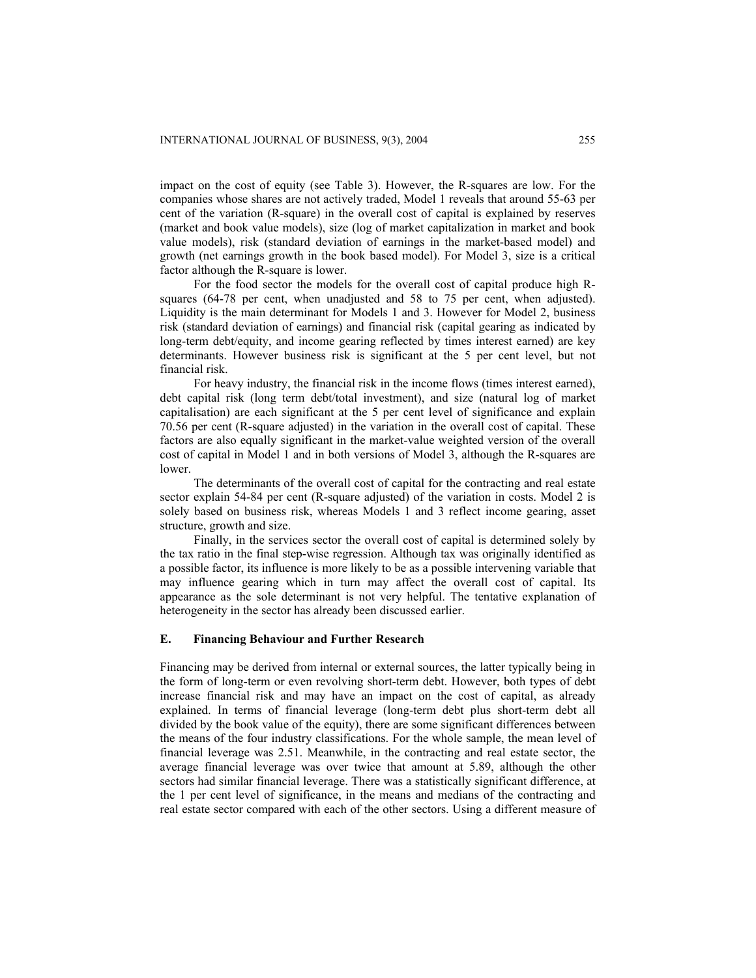impact on the cost of equity (see Table 3). However, the R-squares are low. For the companies whose shares are not actively traded, Model 1 reveals that around 55-63 per cent of the variation (R-square) in the overall cost of capital is explained by reserves (market and book value models), size (log of market capitalization in market and book value models), risk (standard deviation of earnings in the market-based model) and growth (net earnings growth in the book based model). For Model 3, size is a critical factor although the R-square is lower.

For the food sector the models for the overall cost of capital produce high Rsquares (64-78 per cent, when unadjusted and 58 to 75 per cent, when adjusted). Liquidity is the main determinant for Models 1 and 3. However for Model 2, business risk (standard deviation of earnings) and financial risk (capital gearing as indicated by long-term debt/equity, and income gearing reflected by times interest earned) are key determinants. However business risk is significant at the 5 per cent level, but not financial risk.

For heavy industry, the financial risk in the income flows (times interest earned), debt capital risk (long term debt/total investment), and size (natural log of market capitalisation) are each significant at the 5 per cent level of significance and explain 70.56 per cent (R-square adjusted) in the variation in the overall cost of capital. These factors are also equally significant in the market-value weighted version of the overall cost of capital in Model 1 and in both versions of Model 3, although the R-squares are lower.

The determinants of the overall cost of capital for the contracting and real estate sector explain 54-84 per cent (R-square adjusted) of the variation in costs. Model 2 is solely based on business risk, whereas Models 1 and 3 reflect income gearing, asset structure, growth and size.

Finally, in the services sector the overall cost of capital is determined solely by the tax ratio in the final step-wise regression. Although tax was originally identified as a possible factor, its influence is more likely to be as a possible intervening variable that may influence gearing which in turn may affect the overall cost of capital. Its appearance as the sole determinant is not very helpful. The tentative explanation of heterogeneity in the sector has already been discussed earlier.

# **E. Financing Behaviour and Further Research**

Financing may be derived from internal or external sources, the latter typically being in the form of long-term or even revolving short-term debt. However, both types of debt increase financial risk and may have an impact on the cost of capital, as already explained. In terms of financial leverage (long-term debt plus short-term debt all divided by the book value of the equity), there are some significant differences between the means of the four industry classifications. For the whole sample, the mean level of financial leverage was 2.51. Meanwhile, in the contracting and real estate sector, the average financial leverage was over twice that amount at 5.89, although the other sectors had similar financial leverage. There was a statistically significant difference, at the 1 per cent level of significance, in the means and medians of the contracting and real estate sector compared with each of the other sectors. Using a different measure of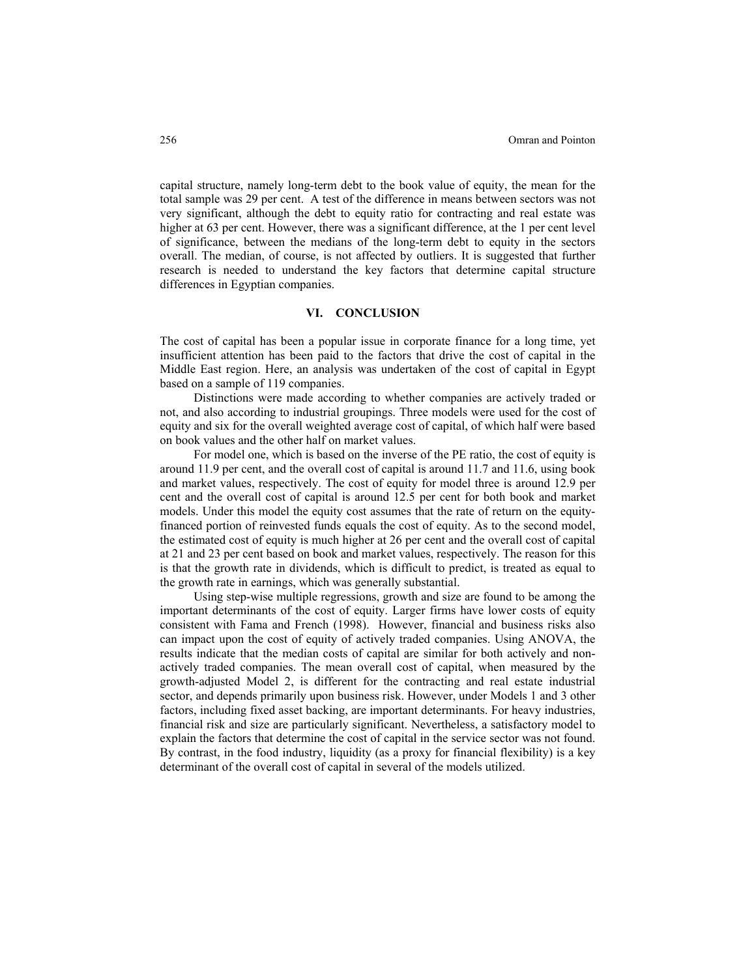capital structure, namely long-term debt to the book value of equity, the mean for the total sample was 29 per cent. A test of the difference in means between sectors was not very significant, although the debt to equity ratio for contracting and real estate was higher at 63 per cent. However, there was a significant difference, at the 1 per cent level of significance, between the medians of the long-term debt to equity in the sectors overall. The median, of course, is not affected by outliers. It is suggested that further research is needed to understand the key factors that determine capital structure differences in Egyptian companies.

# **VI. CONCLUSION**

The cost of capital has been a popular issue in corporate finance for a long time, yet insufficient attention has been paid to the factors that drive the cost of capital in the Middle East region. Here, an analysis was undertaken of the cost of capital in Egypt based on a sample of 119 companies.

Distinctions were made according to whether companies are actively traded or not, and also according to industrial groupings. Three models were used for the cost of equity and six for the overall weighted average cost of capital, of which half were based on book values and the other half on market values.

For model one, which is based on the inverse of the PE ratio, the cost of equity is around 11.9 per cent, and the overall cost of capital is around 11.7 and 11.6, using book and market values, respectively. The cost of equity for model three is around 12.9 per cent and the overall cost of capital is around 12.5 per cent for both book and market models. Under this model the equity cost assumes that the rate of return on the equityfinanced portion of reinvested funds equals the cost of equity. As to the second model, the estimated cost of equity is much higher at 26 per cent and the overall cost of capital at 21 and 23 per cent based on book and market values, respectively. The reason for this is that the growth rate in dividends, which is difficult to predict, is treated as equal to the growth rate in earnings, which was generally substantial.

Using step-wise multiple regressions, growth and size are found to be among the important determinants of the cost of equity. Larger firms have lower costs of equity consistent with Fama and French (1998). However, financial and business risks also can impact upon the cost of equity of actively traded companies. Using ANOVA, the results indicate that the median costs of capital are similar for both actively and nonactively traded companies. The mean overall cost of capital, when measured by the growth-adjusted Model 2, is different for the contracting and real estate industrial sector, and depends primarily upon business risk. However, under Models 1 and 3 other factors, including fixed asset backing, are important determinants. For heavy industries, financial risk and size are particularly significant. Nevertheless, a satisfactory model to explain the factors that determine the cost of capital in the service sector was not found. By contrast, in the food industry, liquidity (as a proxy for financial flexibility) is a key determinant of the overall cost of capital in several of the models utilized.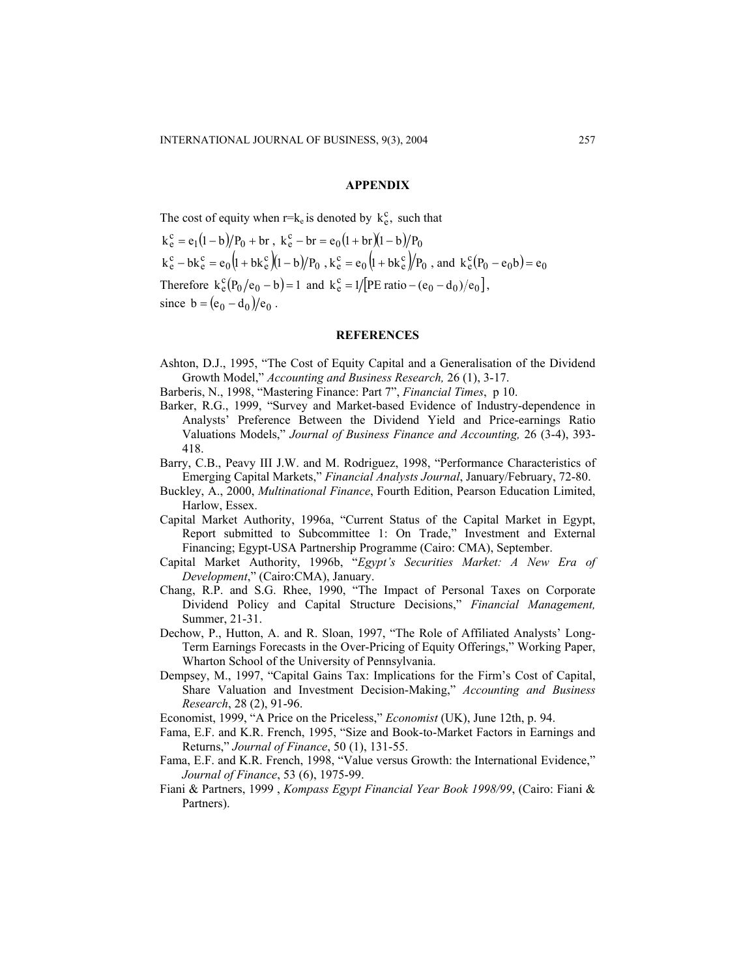### **APPENDIX**

The cost of equity when  $r = k_e$  is denoted by  $k_e^c$ , such that

 $k_e^c = e_1(1-b)/P_0 + br$ ,  $k_e^c - br = e_0(1+br)(1-b)/P_0$  $k_e^c - bk_e^c = e_0 (l + bk_e^c)(l - b)/P_0$ ,  $k_e^c = e_0 (l + bk_e^c)/P_0$ , and  $k_e^c (P_0 - e_0 b) = e_0$ Therefore  $k_e^c(P_0/e_0 - b) = 1$  and  $k_e^c = 1/[PE \text{ ratio} - (e_0 - d_0)/e_0]$ , since  $b = (e_0 - d_0)/e_0$ .

# **REFERENCES**

- Ashton, D.J., 1995, "The Cost of Equity Capital and a Generalisation of the Dividend Growth Model," *Accounting and Business Research,* 26 (1), 3-17.
- Barberis, N., 1998, "Mastering Finance: Part 7", *Financial Times*, p 10.
- Barker, R.G., 1999, "Survey and Market-based Evidence of Industry-dependence in Analysts' Preference Between the Dividend Yield and Price-earnings Ratio Valuations Models," *Journal of Business Finance and Accounting,* 26 (3-4), 393- 418.
- Barry, C.B., Peavy III J.W. and M. Rodriguez, 1998, "Performance Characteristics of Emerging Capital Markets," *Financial Analysts Journal*, January/February, 72-80.
- Buckley, A., 2000, *Multinational Finance*, Fourth Edition, Pearson Education Limited, Harlow, Essex.
- Capital Market Authority, 1996a, "Current Status of the Capital Market in Egypt, Report submitted to Subcommittee 1: On Trade," Investment and External Financing; Egypt-USA Partnership Programme (Cairo: CMA), September.
- Capital Market Authority, 1996b, "*Egypt's Securities Market: A New Era of Development*," (Cairo:CMA), January.
- Chang, R.P. and S.G. Rhee, 1990, "The Impact of Personal Taxes on Corporate Dividend Policy and Capital Structure Decisions," *Financial Management,* Summer, 21-31.
- Dechow, P., Hutton, A. and R. Sloan, 1997, "The Role of Affiliated Analysts' Long-Term Earnings Forecasts in the Over-Pricing of Equity Offerings," Working Paper, Wharton School of the University of Pennsylvania.
- Dempsey, M., 1997, "Capital Gains Tax: Implications for the Firm's Cost of Capital, Share Valuation and Investment Decision-Making," *Accounting and Business Research*, 28 (2), 91-96.
- Economist, 1999, "A Price on the Priceless," *Economist* (UK), June 12th, p. 94.
- Fama, E.F. and K.R. French, 1995, "Size and Book-to-Market Factors in Earnings and Returns," *Journal of Finance*, 50 (1), 131-55.
- Fama, E.F. and K.R. French, 1998, "Value versus Growth: the International Evidence," *Journal of Finance*, 53 (6), 1975-99.
- Fiani & Partners, 1999 , *Kompass Egypt Financial Year Book 1998/99*, (Cairo: Fiani & Partners).